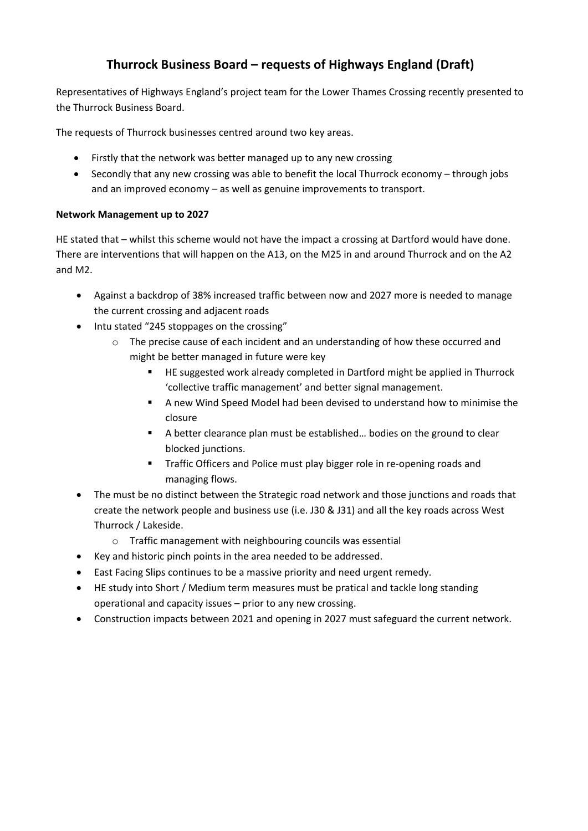# **Thurrock Business Board – requests of Highways England (Draft)**

Representatives of Highways England's project team for the Lower Thames Crossing recently presented to the Thurrock Business Board.

The requests of Thurrock businesses centred around two key areas.

- Firstly that the network was better managed up to any new crossing
- Secondly that any new crossing was able to benefit the local Thurrock economy through jobs and an improved economy – as well as genuine improvements to transport.

### **Network Management up to 2027**

HE stated that – whilst this scheme would not have the impact a crossing at Dartford would have done. There are interventions that will happen on the A13, on the M25 in and around Thurrock and on the A2 and M2.

- Against a backdrop of 38% increased traffic between now and 2027 more is needed to manage the current crossing and adjacent roads
- Intu stated "245 stoppages on the crossing"
	- $\circ$  The precise cause of each incident and an understanding of how these occurred and might be better managed in future were key
		- HE suggested work already completed in Dartford might be applied in Thurrock 'collective traffic management' and better signal management.
		- A new Wind Speed Model had been devised to understand how to minimise the closure
		- A better clearance plan must be established... bodies on the ground to clear blocked junctions.
		- **Traffic Officers and Police must play bigger role in re-opening roads and** managing flows.
- The must be no distinct between the Strategic road network and those junctions and roads that create the network people and business use (i.e. J30 & J31) and all the key roads across West Thurrock / Lakeside.
	- o Traffic management with neighbouring councils was essential
- Key and historic pinch points in the area needed to be addressed.
- East Facing Slips continues to be a massive priority and need urgent remedy.
- HE study into Short / Medium term measures must be pratical and tackle long standing operational and capacity issues – prior to any new crossing.
- Construction impacts between 2021 and opening in 2027 must safeguard the current network.